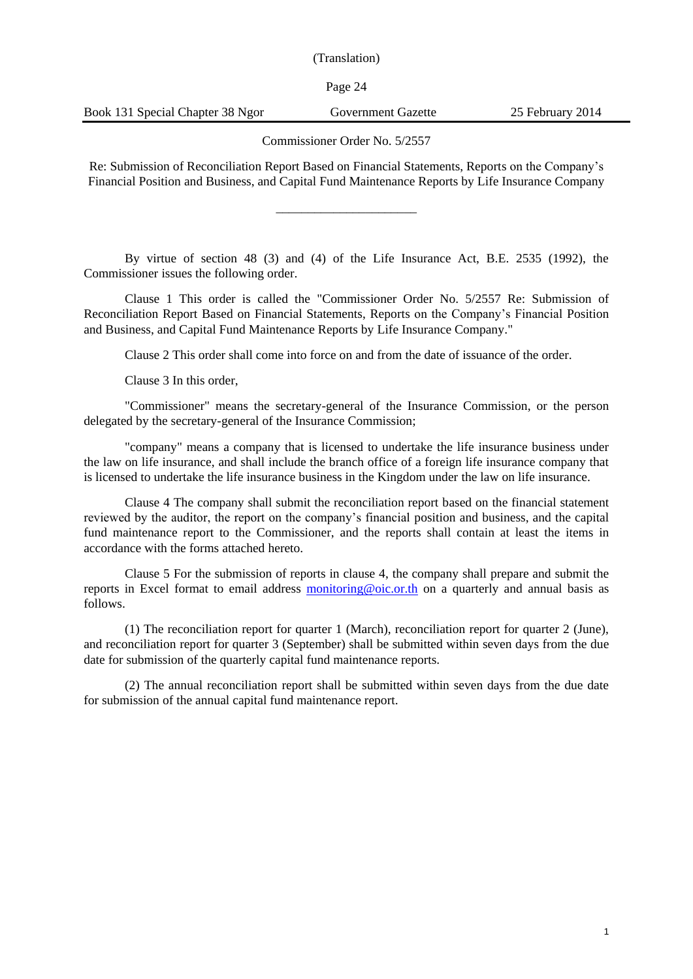Page 24

Commissioner Order No. 5/2557

Re: Submission of Reconciliation Report Based on Financial Statements, Reports on the Company's Financial Position and Business, and Capital Fund Maintenance Reports by Life Insurance Company

\_\_\_\_\_\_\_\_\_\_\_\_\_\_\_\_\_\_\_\_\_\_

By virtue of section 48 (3) and (4) of the Life Insurance Act, B.E. 2535 (1992), the Commissioner issues the following order.

Clause 1 This order is called the "Commissioner Order No. 5/2557 Re: Submission of Reconciliation Report Based on Financial Statements, Reports on the Company's Financial Position and Business, and Capital Fund Maintenance Reports by Life Insurance Company."

Clause 2 This order shall come into force on and from the date of issuance of the order.

Clause 3 In this order,

"Commissioner" means the secretary-general of the Insurance Commission, or the person delegated by the secretary-general of the Insurance Commission;

"company" means a company that is licensed to undertake the life insurance business under the law on life insurance, and shall include the branch office of a foreign life insurance company that is licensed to undertake the life insurance business in the Kingdom under the law on life insurance.

Clause 4 The company shall submit the reconciliation report based on the financial statement reviewed by the auditor, the report on the company's financial position and business, and the capital fund maintenance report to the Commissioner, and the reports shall contain at least the items in accordance with the forms attached hereto.

Clause 5 For the submission of reports in clause 4, the company shall prepare and submit the reports in Excel format to email address [monitoring@oic.or.th](mailto:monitoring@oic.or.th) on a quarterly and annual basis as follows.

(1) The reconciliation report for quarter 1 (March), reconciliation report for quarter 2 (June), and reconciliation report for quarter 3 (September) shall be submitted within seven days from the due date for submission of the quarterly capital fund maintenance reports.

(2) The annual reconciliation report shall be submitted within seven days from the due date for submission of the annual capital fund maintenance report.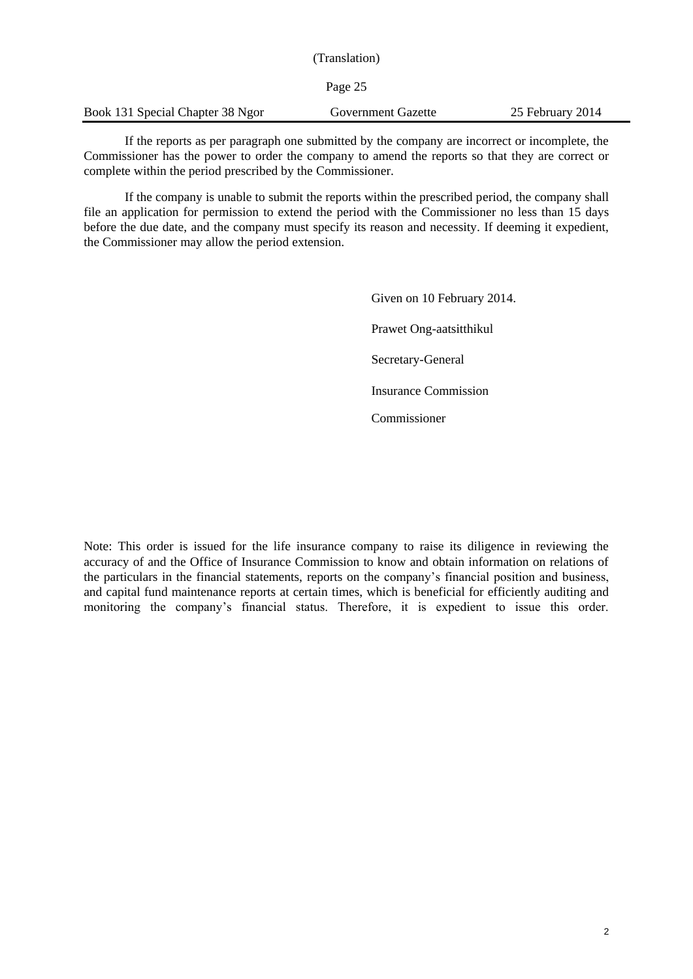|                                  | (Translation)      |                  |
|----------------------------------|--------------------|------------------|
|                                  | Page 25            |                  |
| Book 131 Special Chapter 38 Ngor | Government Gazette | 25 February 2014 |

If the reports as per paragraph one submitted by the company are incorrect or incomplete, the Commissioner has the power to order the company to amend the reports so that they are correct or complete within the period prescribed by the Commissioner.

If the company is unable to submit the reports within the prescribed period, the company shall file an application for permission to extend the period with the Commissioner no less than 15 days before the due date, and the company must specify its reason and necessity. If deeming it expedient, the Commissioner may allow the period extension.

> Given on 10 February 2014. Prawet Ong-aatsitthikul Secretary-General Insurance Commission Commissioner

Note: This order is issued for the life insurance company to raise its diligence in reviewing the accuracy of and the Office of Insurance Commission to know and obtain information on relations of the particulars in the financial statements, reports on the company's financial position and business, and capital fund maintenance reports at certain times, which is beneficial for efficiently auditing and monitoring the company's financial status. Therefore, it is expedient to issue this order.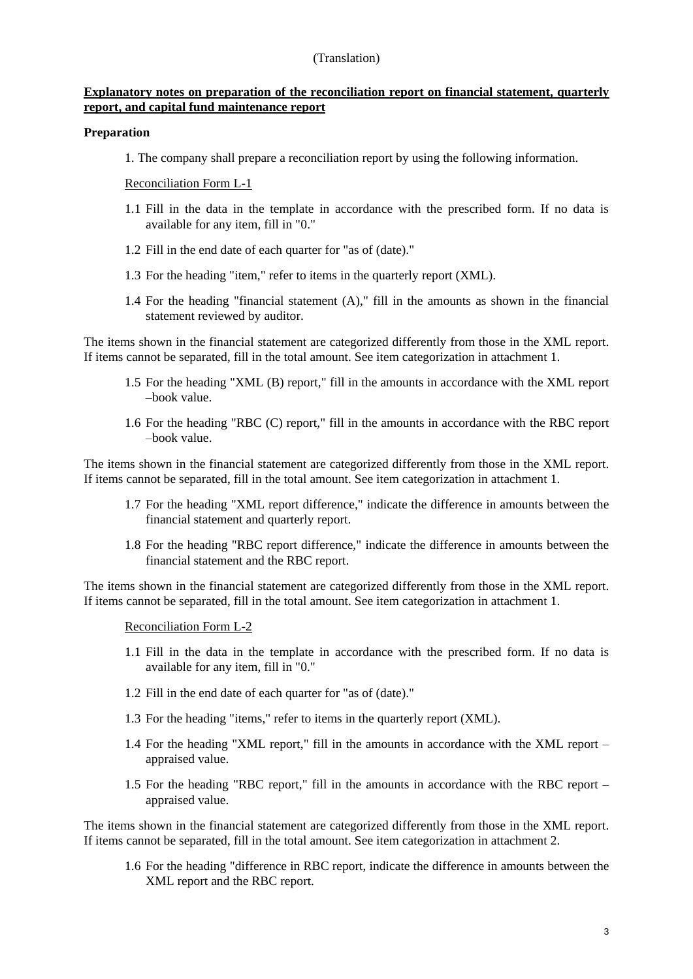#### **Explanatory notes on preparation of the reconciliation report on financial statement, quarterly report, and capital fund maintenance report**

#### **Preparation**

1. The company shall prepare a reconciliation report by using the following information.

#### Reconciliation Form L-1

- 1.1 Fill in the data in the template in accordance with the prescribed form. If no data is available for any item, fill in "0."
- 1.2 Fill in the end date of each quarter for "as of (date)."
- 1.3 For the heading "item," refer to items in the quarterly report (XML).
- 1.4 For the heading "financial statement (A)," fill in the amounts as shown in the financial statement reviewed by auditor.

The items shown in the financial statement are categorized differently from those in the XML report. If items cannot be separated, fill in the total amount. See item categorization in attachment 1.

- 1.5 For the heading "XML (B) report," fill in the amounts in accordance with the XML report –book value.
- 1.6 For the heading "RBC (C) report," fill in the amounts in accordance with the RBC report –book value.

The items shown in the financial statement are categorized differently from those in the XML report. If items cannot be separated, fill in the total amount. See item categorization in attachment 1.

- 1.7 For the heading "XML report difference," indicate the difference in amounts between the financial statement and quarterly report.
- 1.8 For the heading "RBC report difference," indicate the difference in amounts between the financial statement and the RBC report.

The items shown in the financial statement are categorized differently from those in the XML report. If items cannot be separated, fill in the total amount. See item categorization in attachment 1.

Reconciliation Form L-2

- 1.1 Fill in the data in the template in accordance with the prescribed form. If no data is available for any item, fill in "0."
- 1.2 Fill in the end date of each quarter for "as of (date)."
- 1.3 For the heading "items," refer to items in the quarterly report (XML).
- 1.4 For the heading "XML report," fill in the amounts in accordance with the XML report appraised value.
- 1.5 For the heading "RBC report," fill in the amounts in accordance with the RBC report appraised value.

The items shown in the financial statement are categorized differently from those in the XML report. If items cannot be separated, fill in the total amount. See item categorization in attachment 2.

1.6 For the heading "difference in RBC report, indicate the difference in amounts between the XML report and the RBC report.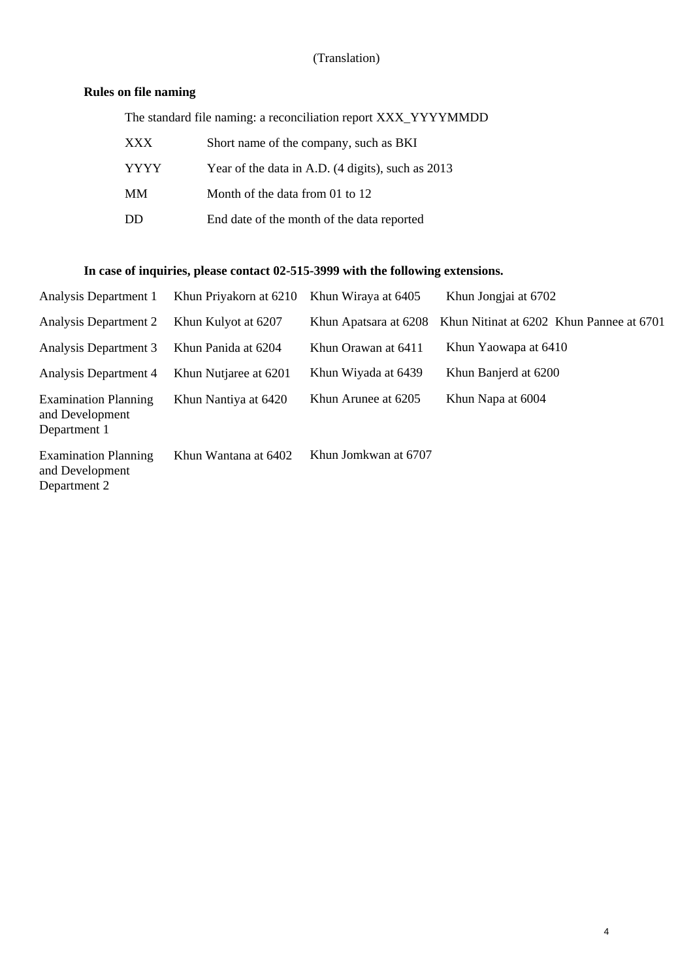# **Rules on file naming**

| The standard file naming: a reconciliation report XXX_YYYYMMDD |                                                   |  |  |  |  |  |
|----------------------------------------------------------------|---------------------------------------------------|--|--|--|--|--|
| <b>XXX</b>                                                     | Short name of the company, such as BKI            |  |  |  |  |  |
| <b>YYYY</b>                                                    | Year of the data in A.D. (4 digits), such as 2013 |  |  |  |  |  |
| MM                                                             | Month of the data from 01 to 12                   |  |  |  |  |  |
| DD                                                             | End date of the month of the data reported        |  |  |  |  |  |

# **In case of inquiries, please contact 02-515-3999 with the following extensions.**

| Analysis Department 1                                          | Khun Priyakorn at 6210 | Khun Wiraya at 6405   | Khun Jongjai at 6702                     |
|----------------------------------------------------------------|------------------------|-----------------------|------------------------------------------|
| <b>Analysis Department 2</b>                                   | Khun Kulyot at 6207    | Khun Apatsara at 6208 | Khun Nitinat at 6202 Khun Pannee at 6701 |
| Analysis Department 3                                          | Khun Panida at 6204    | Khun Orawan at 6411   | Khun Yaowapa at 6410                     |
| Analysis Department 4                                          | Khun Nutjaree at 6201  | Khun Wiyada at 6439   | Khun Banjerd at 6200                     |
| <b>Examination Planning</b><br>and Development<br>Department 1 | Khun Nantiya at 6420   | Khun Arunee at 6205   | Khun Napa at 6004                        |
| <b>Examination Planning</b><br>and Development<br>Department 2 | Khun Wantana at 6402   | Khun Jomkwan at 6707  |                                          |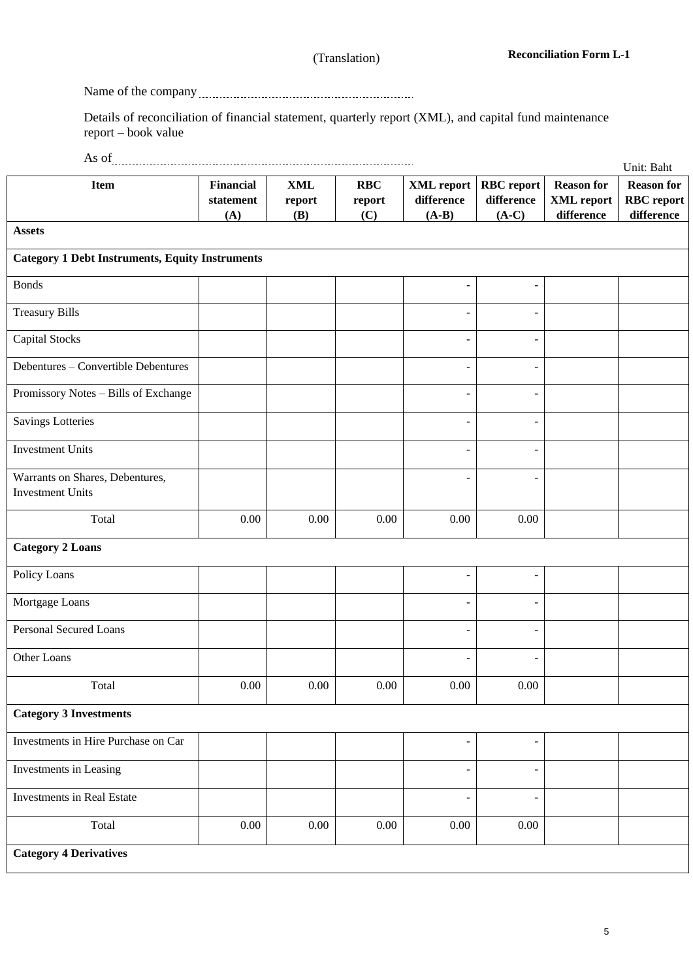Name of the company

Details of reconciliation of financial statement, quarterly report (XML), and capital fund maintenance report – book value

| As of                                                      |                                      |                                 |                             |                                            |                                            |                                                      | Unit: Baht                                           |
|------------------------------------------------------------|--------------------------------------|---------------------------------|-----------------------------|--------------------------------------------|--------------------------------------------|------------------------------------------------------|------------------------------------------------------|
| <b>Item</b>                                                | <b>Financial</b><br>statement<br>(A) | $\mathbf{XML}$<br>report<br>(B) | <b>RBC</b><br>report<br>(C) | <b>XML</b> report<br>difference<br>$(A-B)$ | <b>RBC</b> report<br>difference<br>$(A-C)$ | <b>Reason for</b><br><b>XML</b> report<br>difference | <b>Reason for</b><br><b>RBC</b> report<br>difference |
| <b>Assets</b>                                              |                                      |                                 |                             |                                            |                                            |                                                      |                                                      |
| <b>Category 1 Debt Instruments, Equity Instruments</b>     |                                      |                                 |                             |                                            |                                            |                                                      |                                                      |
| <b>Bonds</b>                                               |                                      |                                 |                             |                                            |                                            |                                                      |                                                      |
| <b>Treasury Bills</b>                                      |                                      |                                 |                             |                                            | ۰                                          |                                                      |                                                      |
| <b>Capital Stocks</b>                                      |                                      |                                 |                             |                                            | ÷,                                         |                                                      |                                                      |
| Debentures - Convertible Debentures                        |                                      |                                 |                             | $\blacksquare$                             | $\overline{\phantom{a}}$                   |                                                      |                                                      |
| Promissory Notes - Bills of Exchange                       |                                      |                                 |                             | $\overline{a}$                             | $\overline{\phantom{a}}$                   |                                                      |                                                      |
| <b>Savings Lotteries</b>                                   |                                      |                                 |                             | $\overline{\phantom{a}}$                   | ÷.                                         |                                                      |                                                      |
| <b>Investment Units</b>                                    |                                      |                                 |                             | $\overline{\phantom{0}}$                   | -                                          |                                                      |                                                      |
| Warrants on Shares, Debentures,<br><b>Investment Units</b> |                                      |                                 |                             |                                            | ۰                                          |                                                      |                                                      |
| Total                                                      | 0.00                                 | 0.00                            | 0.00                        | 0.00                                       | 0.00                                       |                                                      |                                                      |
| <b>Category 2 Loans</b>                                    |                                      |                                 |                             |                                            |                                            |                                                      |                                                      |
| Policy Loans                                               |                                      |                                 |                             | $\overline{a}$                             | $\overline{\phantom{a}}$                   |                                                      |                                                      |
| Mortgage Loans                                             |                                      |                                 |                             | $\overline{a}$                             | ۰                                          |                                                      |                                                      |
| <b>Personal Secured Loans</b>                              |                                      |                                 |                             |                                            | $\overline{\phantom{0}}$                   |                                                      |                                                      |
| Other Loans                                                |                                      |                                 |                             | ÷                                          | ٠                                          |                                                      |                                                      |
| Total                                                      | 0.00                                 | $0.00\,$                        | 0.00                        | 0.00                                       | 0.00                                       |                                                      |                                                      |
| <b>Category 3 Investments</b>                              |                                      |                                 |                             |                                            |                                            |                                                      |                                                      |
| Investments in Hire Purchase on Car                        |                                      |                                 |                             | $\overline{\phantom{m}}$                   | $\overline{\phantom{a}}$                   |                                                      |                                                      |
| Investments in Leasing                                     |                                      |                                 |                             | $\overline{a}$                             | $\overline{\phantom{a}}$                   |                                                      |                                                      |
| Investments in Real Estate                                 |                                      |                                 |                             | $\overline{a}$                             | $\overline{\phantom{a}}$                   |                                                      |                                                      |
| Total                                                      | 0.00                                 | $0.00\,$                        | 0.00                        | $0.00\,$                                   | 0.00                                       |                                                      |                                                      |
| <b>Category 4 Derivatives</b>                              |                                      |                                 |                             |                                            |                                            |                                                      |                                                      |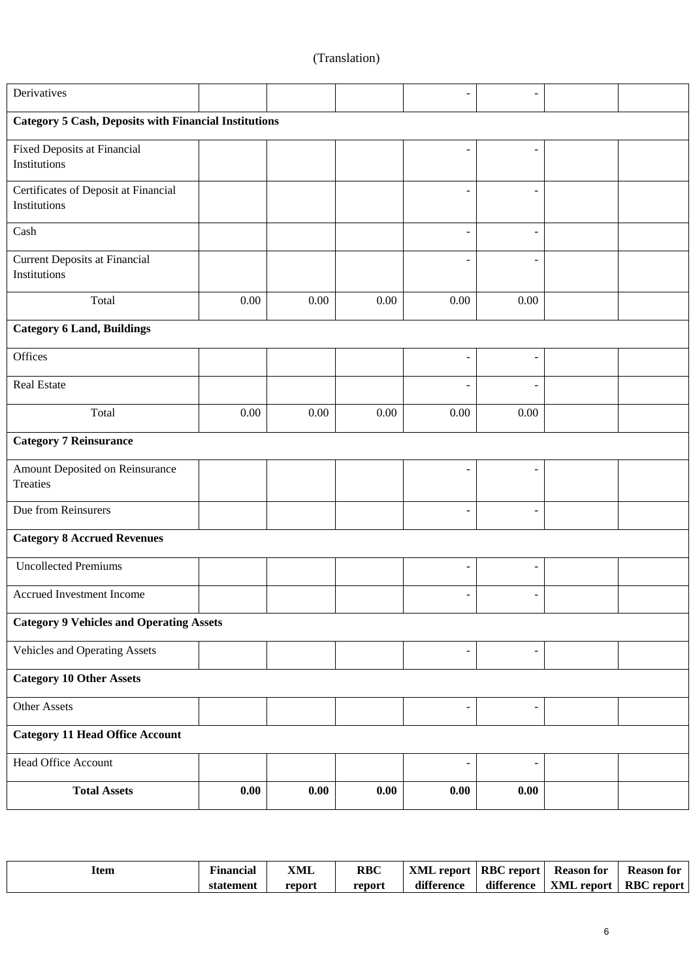| Derivatives                                                  |      |          |      |                              | $\overline{\phantom{0}}$ |  |  |  |  |
|--------------------------------------------------------------|------|----------|------|------------------------------|--------------------------|--|--|--|--|
| <b>Category 5 Cash, Deposits with Financial Institutions</b> |      |          |      |                              |                          |  |  |  |  |
| <b>Fixed Deposits at Financial</b><br>Institutions           |      |          |      |                              |                          |  |  |  |  |
| Certificates of Deposit at Financial<br>Institutions         |      |          |      |                              | $\overline{\phantom{a}}$ |  |  |  |  |
| Cash                                                         |      |          |      | ۰                            | $\overline{\phantom{a}}$ |  |  |  |  |
| <b>Current Deposits at Financial</b><br>Institutions         |      |          |      |                              | $\overline{\phantom{a}}$ |  |  |  |  |
| Total                                                        | 0.00 | $0.00\,$ | 0.00 | 0.00                         | $0.00\,$                 |  |  |  |  |
| <b>Category 6 Land, Buildings</b>                            |      |          |      |                              |                          |  |  |  |  |
| Offices                                                      |      |          |      |                              | $\overline{a}$           |  |  |  |  |
| Real Estate                                                  |      |          |      |                              | $\overline{\phantom{a}}$ |  |  |  |  |
| Total                                                        | 0.00 | 0.00     | 0.00 | 0.00                         | $0.00\,$                 |  |  |  |  |
| <b>Category 7 Reinsurance</b>                                |      |          |      |                              |                          |  |  |  |  |
| Amount Deposited on Reinsurance<br>Treaties                  |      |          |      |                              | $\overline{a}$           |  |  |  |  |
| Due from Reinsurers                                          |      |          |      |                              | $\overline{\phantom{a}}$ |  |  |  |  |
| <b>Category 8 Accrued Revenues</b>                           |      |          |      |                              |                          |  |  |  |  |
| <b>Uncollected Premiums</b>                                  |      |          |      |                              | $\overline{\phantom{a}}$ |  |  |  |  |
| Accrued Investment Income                                    |      |          |      |                              | ٠                        |  |  |  |  |
| <b>Category 9 Vehicles and Operating Assets</b>              |      |          |      |                              |                          |  |  |  |  |
| Vehicles and Operating Assets                                |      |          |      | $\qquad \qquad \blacksquare$ | $\blacksquare$           |  |  |  |  |
| <b>Category 10 Other Assets</b>                              |      |          |      |                              |                          |  |  |  |  |
| <b>Other Assets</b>                                          |      |          |      | $\overline{\phantom{0}}$     | $\overline{\phantom{a}}$ |  |  |  |  |
| <b>Category 11 Head Office Account</b>                       |      |          |      |                              |                          |  |  |  |  |
| <b>Head Office Account</b>                                   |      |          |      | $\overline{a}$               | $\overline{\phantom{a}}$ |  |  |  |  |
| <b>Total Assets</b>                                          | 0.00 | 0.00     | 0.00 | 0.00                         | 0.00                     |  |  |  |  |

| ltem | ⊷<br>Financial | XML    | <b>RBC</b> | XML report | <b>RBC</b> report | <b>Reason for</b> | <b>Reason for</b>    |
|------|----------------|--------|------------|------------|-------------------|-------------------|----------------------|
|      | statement      | report | report     | difference | difference        | XML report        | <b>RBC</b><br>report |

Π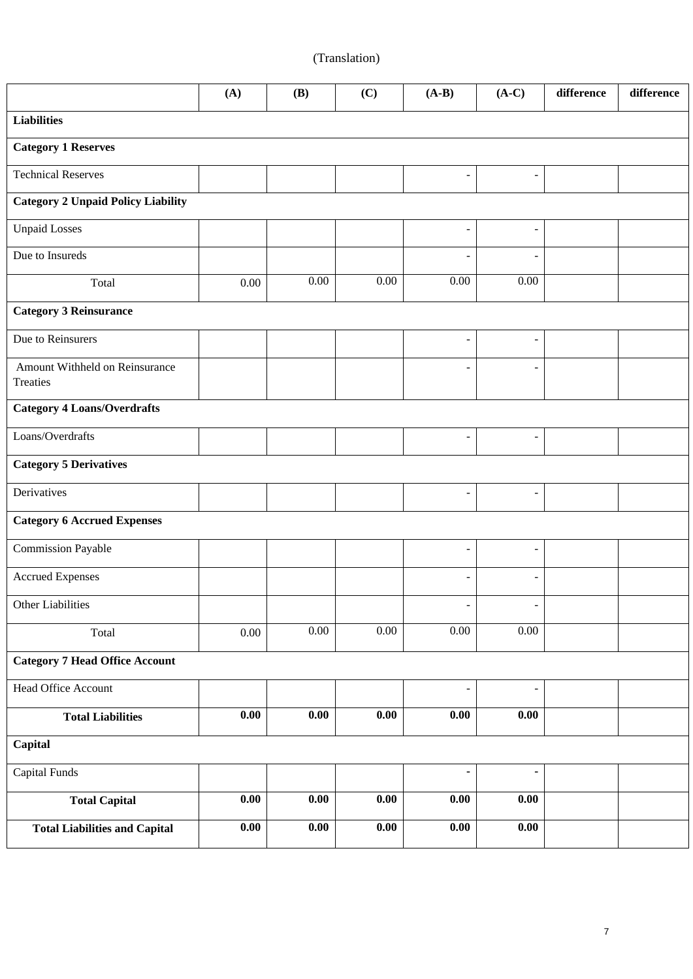|                                            | (A)                 | (B)      | (C)  | $(A-B)$                     | $(A-C)$                  | difference | difference |
|--------------------------------------------|---------------------|----------|------|-----------------------------|--------------------------|------------|------------|
| <b>Liabilities</b>                         |                     |          |      |                             |                          |            |            |
| <b>Category 1 Reserves</b>                 |                     |          |      |                             |                          |            |            |
| <b>Technical Reserves</b>                  |                     |          |      | $\overline{\phantom{a}}$    | $\overline{\phantom{a}}$ |            |            |
| <b>Category 2 Unpaid Policy Liability</b>  |                     |          |      |                             |                          |            |            |
| <b>Unpaid Losses</b>                       |                     |          |      | $\overline{\phantom{a}}$    | $\overline{\phantom{a}}$ |            |            |
| Due to Insureds                            |                     |          |      | $\overline{\phantom{a}}$    | $\overline{\phantom{a}}$ |            |            |
| Total                                      | 0.00                | 0.00     | 0.00 | $0.00\,$                    | 0.00                     |            |            |
| <b>Category 3 Reinsurance</b>              |                     |          |      |                             |                          |            |            |
| Due to Reinsurers                          |                     |          |      | $\overline{\phantom{a}}$    | $\overline{\phantom{a}}$ |            |            |
| Amount Withheld on Reinsurance<br>Treaties |                     |          |      | $\overline{\phantom{a}}$    | $\overline{\phantom{a}}$ |            |            |
| <b>Category 4 Loans/Overdrafts</b>         |                     |          |      |                             |                          |            |            |
| Loans/Overdrafts                           |                     |          |      | $\overline{\phantom{a}}$    | $\overline{\phantom{a}}$ |            |            |
| <b>Category 5 Derivatives</b>              |                     |          |      |                             |                          |            |            |
| Derivatives                                |                     |          |      | $\overline{\phantom{a}}$    | $\overline{\phantom{a}}$ |            |            |
| <b>Category 6 Accrued Expenses</b>         |                     |          |      |                             |                          |            |            |
| <b>Commission Payable</b>                  |                     |          |      | $\blacksquare$              | $\overline{\phantom{a}}$ |            |            |
| <b>Accrued Expenses</b>                    |                     |          |      | $\blacksquare$              | $\overline{\phantom{a}}$ |            |            |
| Other Liabilities                          |                     |          |      |                             |                          |            |            |
| Total                                      | $0.00\,$            | $0.00\,$ | 0.00 | $0.00\,$                    | 0.00                     |            |            |
| <b>Category 7 Head Office Account</b>      |                     |          |      |                             |                          |            |            |
| Head Office Account                        |                     |          |      | $\overline{\phantom{m}}$    | $\overline{\phantom{m}}$ |            |            |
| <b>Total Liabilities</b>                   | $\boldsymbol{0.00}$ | $0.00\,$ | 0.00 | $\overline{\mathbf{0}}$ .00 | $0.00\,$                 |            |            |
| Capital                                    |                     |          |      |                             |                          |            |            |
| <b>Capital Funds</b>                       |                     |          |      | ۰                           | ۰                        |            |            |
| <b>Total Capital</b>                       | $\boldsymbol{0.00}$ | 0.00     | 0.00 | 0.00                        | $0.00\,$                 |            |            |
| <b>Total Liabilities and Capital</b>       | $\boldsymbol{0.00}$ | 0.00     | 0.00 | $\boldsymbol{0.00}$         | $0.00\,$                 |            |            |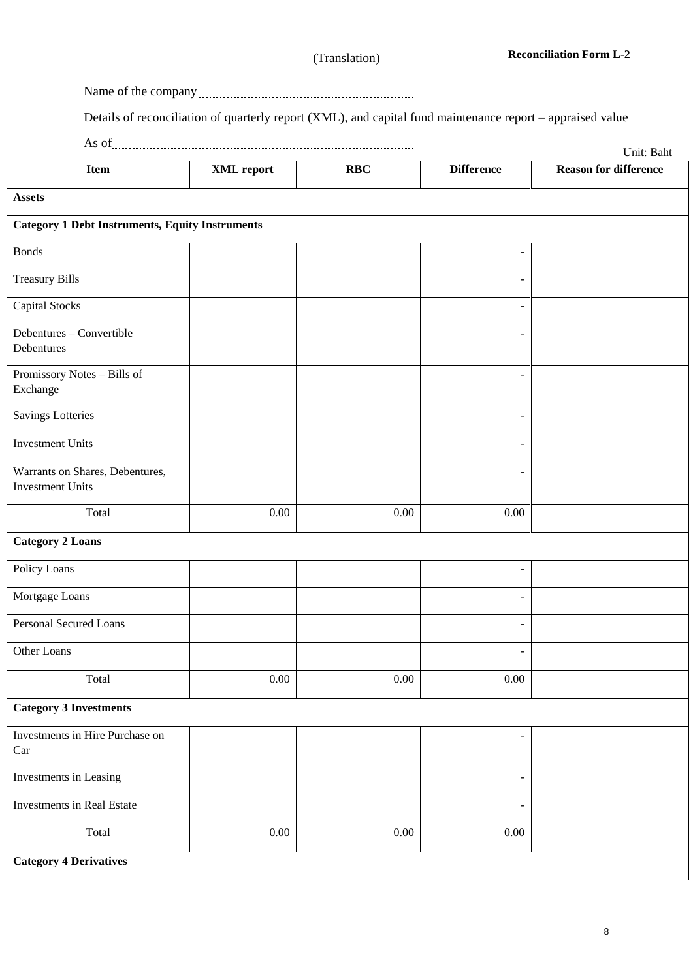Name of the company

Details of reconciliation of quarterly report (XML), and capital fund maintenance report – appraised value

| As of                                                      |            |            |                   | Unit: Baht                   |
|------------------------------------------------------------|------------|------------|-------------------|------------------------------|
| <b>Item</b>                                                | XML report | <b>RBC</b> | <b>Difference</b> | <b>Reason for difference</b> |
| <b>Assets</b>                                              |            |            |                   |                              |
| <b>Category 1 Debt Instruments, Equity Instruments</b>     |            |            |                   |                              |
| <b>Bonds</b>                                               |            |            |                   |                              |
| <b>Treasury Bills</b>                                      |            |            |                   |                              |
| <b>Capital Stocks</b>                                      |            |            |                   |                              |
| Debentures - Convertible<br>Debentures                     |            |            |                   |                              |
| Promissory Notes - Bills of<br>Exchange                    |            |            |                   |                              |
| <b>Savings Lotteries</b>                                   |            |            |                   |                              |
| <b>Investment Units</b>                                    |            |            |                   |                              |
| Warrants on Shares, Debentures,<br><b>Investment Units</b> |            |            |                   |                              |
| Total                                                      | 0.00       | 0.00       | 0.00              |                              |
| <b>Category 2 Loans</b>                                    |            |            |                   |                              |
| Policy Loans                                               |            |            |                   |                              |
| Mortgage Loans                                             |            |            |                   |                              |
| <b>Personal Secured Loans</b>                              |            |            |                   |                              |
| Other Loans                                                |            |            | $\qquad \qquad -$ |                              |
| Total                                                      | 0.00       | 0.00       | 0.00              |                              |
| <b>Category 3 Investments</b>                              |            |            |                   |                              |
| Investments in Hire Purchase on<br>Car                     |            |            |                   |                              |
| Investments in Leasing                                     |            |            | $\blacksquare$    |                              |
| <b>Investments in Real Estate</b>                          |            |            | $\blacksquare$    |                              |
| Total                                                      | $0.00\,$   | 0.00       | 0.00              |                              |
| <b>Category 4 Derivatives</b>                              |            |            |                   |                              |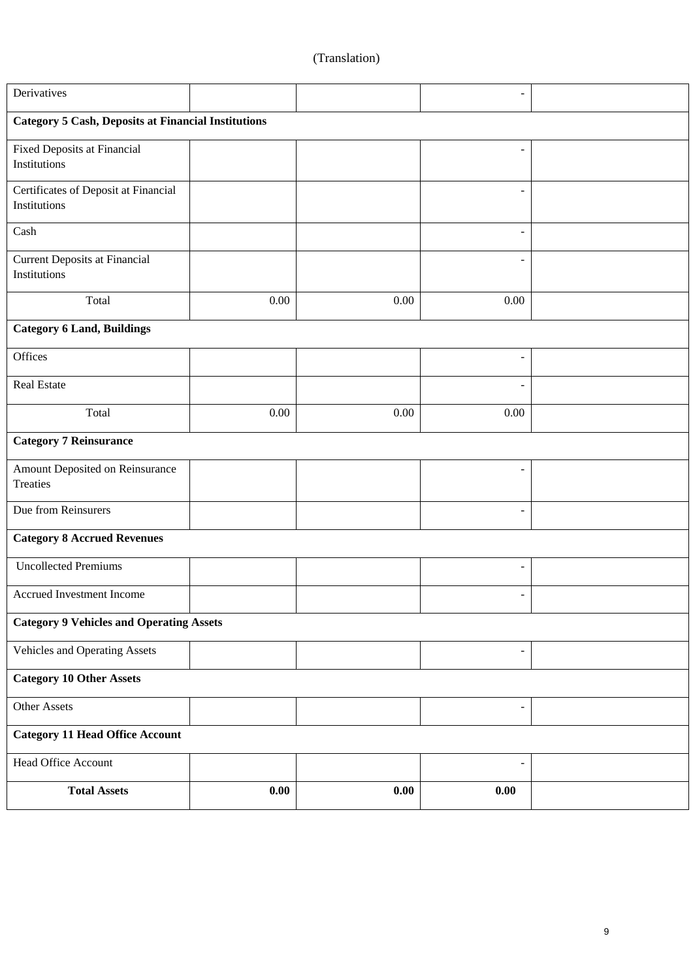| Derivatives                                                |          |      |                          |  |  |  |  |  |  |
|------------------------------------------------------------|----------|------|--------------------------|--|--|--|--|--|--|
| <b>Category 5 Cash, Deposits at Financial Institutions</b> |          |      |                          |  |  |  |  |  |  |
| Fixed Deposits at Financial<br>Institutions                |          |      |                          |  |  |  |  |  |  |
| Certificates of Deposit at Financial<br>Institutions       |          |      |                          |  |  |  |  |  |  |
| Cash                                                       |          |      |                          |  |  |  |  |  |  |
| <b>Current Deposits at Financial</b><br>Institutions       |          |      |                          |  |  |  |  |  |  |
| Total                                                      | $0.00\,$ | 0.00 | $0.00\,$                 |  |  |  |  |  |  |
| <b>Category 6 Land, Buildings</b>                          |          |      |                          |  |  |  |  |  |  |
| Offices                                                    |          |      |                          |  |  |  |  |  |  |
| Real Estate                                                |          |      |                          |  |  |  |  |  |  |
| Total                                                      | $0.00\,$ | 0.00 | $0.00\,$                 |  |  |  |  |  |  |
| <b>Category 7 Reinsurance</b>                              |          |      |                          |  |  |  |  |  |  |
| Amount Deposited on Reinsurance<br>Treaties                |          |      |                          |  |  |  |  |  |  |
| Due from Reinsurers                                        |          |      |                          |  |  |  |  |  |  |
| <b>Category 8 Accrued Revenues</b>                         |          |      |                          |  |  |  |  |  |  |
| <b>Uncollected Premiums</b>                                |          |      | $\overline{a}$           |  |  |  |  |  |  |
| Accrued Investment Income                                  |          |      |                          |  |  |  |  |  |  |
| <b>Category 9 Vehicles and Operating Assets</b>            |          |      |                          |  |  |  |  |  |  |
| Vehicles and Operating Assets                              |          |      | $\overline{\phantom{a}}$ |  |  |  |  |  |  |
| <b>Category 10 Other Assets</b>                            |          |      |                          |  |  |  |  |  |  |
| Other Assets                                               |          |      | $\overline{\phantom{a}}$ |  |  |  |  |  |  |
| <b>Category 11 Head Office Account</b>                     |          |      |                          |  |  |  |  |  |  |
| Head Office Account                                        |          |      | $\overline{\phantom{a}}$ |  |  |  |  |  |  |
| <b>Total Assets</b>                                        | 0.00     | 0.00 | $\boldsymbol{0.00}$      |  |  |  |  |  |  |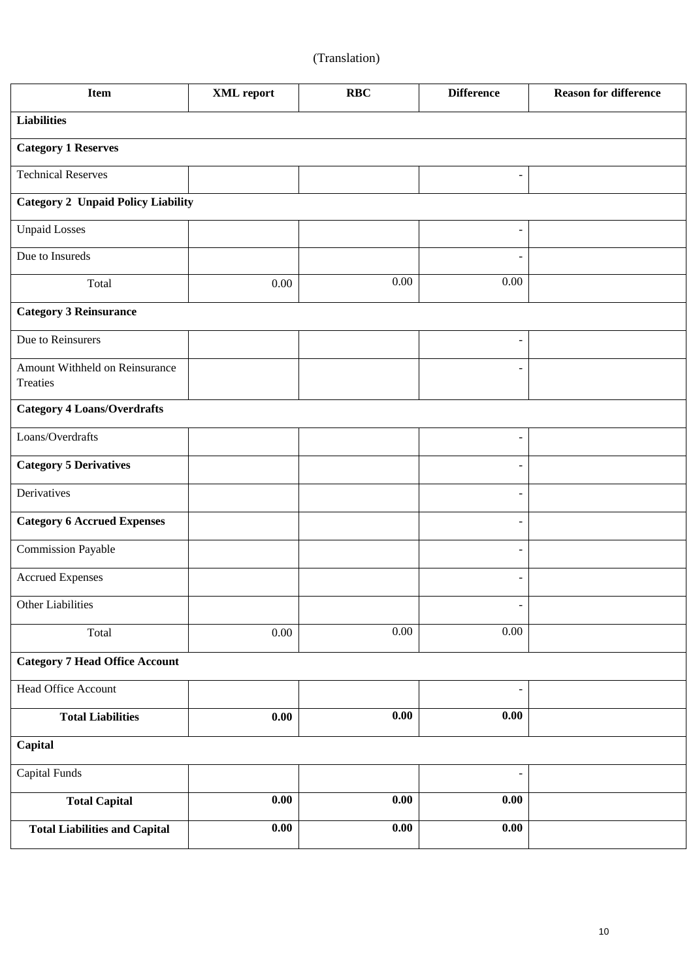| <b>Item</b>                                | XML report          | <b>RBC</b>          | <b>Difference</b>        | <b>Reason for difference</b> |  |  |  |  |
|--------------------------------------------|---------------------|---------------------|--------------------------|------------------------------|--|--|--|--|
| <b>Liabilities</b>                         |                     |                     |                          |                              |  |  |  |  |
| <b>Category 1 Reserves</b>                 |                     |                     |                          |                              |  |  |  |  |
| <b>Technical Reserves</b>                  |                     |                     | $\overline{\phantom{a}}$ |                              |  |  |  |  |
| <b>Category 2 Unpaid Policy Liability</b>  |                     |                     |                          |                              |  |  |  |  |
| <b>Unpaid Losses</b>                       |                     |                     | $\overline{a}$           |                              |  |  |  |  |
| Due to Insureds                            |                     |                     | $\blacksquare$           |                              |  |  |  |  |
| Total                                      | 0.00                | 0.00                | $0.00\,$                 |                              |  |  |  |  |
| <b>Category 3 Reinsurance</b>              |                     |                     |                          |                              |  |  |  |  |
| Due to Reinsurers                          |                     |                     | $\overline{\phantom{a}}$ |                              |  |  |  |  |
| Amount Withheld on Reinsurance<br>Treaties |                     |                     | $\overline{\phantom{a}}$ |                              |  |  |  |  |
| <b>Category 4 Loans/Overdrafts</b>         |                     |                     |                          |                              |  |  |  |  |
| Loans/Overdrafts                           |                     |                     | $\overline{\phantom{a}}$ |                              |  |  |  |  |
| <b>Category 5 Derivatives</b>              |                     |                     | $\overline{\phantom{a}}$ |                              |  |  |  |  |
| Derivatives                                |                     |                     | $\overline{\phantom{a}}$ |                              |  |  |  |  |
| <b>Category 6 Accrued Expenses</b>         |                     |                     | $\overline{a}$           |                              |  |  |  |  |
| <b>Commission Payable</b>                  |                     |                     | $\overline{a}$           |                              |  |  |  |  |
| <b>Accrued Expenses</b>                    |                     |                     | $\overline{\phantom{a}}$ |                              |  |  |  |  |
| Other Liabilities                          |                     |                     | $\qquad \qquad -$        |                              |  |  |  |  |
| Total                                      | 0.00                | 0.00                | 0.00                     |                              |  |  |  |  |
| <b>Category 7 Head Office Account</b>      |                     |                     |                          |                              |  |  |  |  |
| Head Office Account                        |                     |                     | $\overline{\phantom{a}}$ |                              |  |  |  |  |
| <b>Total Liabilities</b>                   | 0.00                | 0.00                | 0.00                     |                              |  |  |  |  |
| Capital                                    |                     |                     |                          |                              |  |  |  |  |
| Capital Funds                              |                     |                     | $\overline{\phantom{a}}$ |                              |  |  |  |  |
| <b>Total Capital</b>                       | 0.00                | 0.00                | 0.00                     |                              |  |  |  |  |
| <b>Total Liabilities and Capital</b>       | $\boldsymbol{0.00}$ | $\boldsymbol{0.00}$ | $\boldsymbol{0.00}$      |                              |  |  |  |  |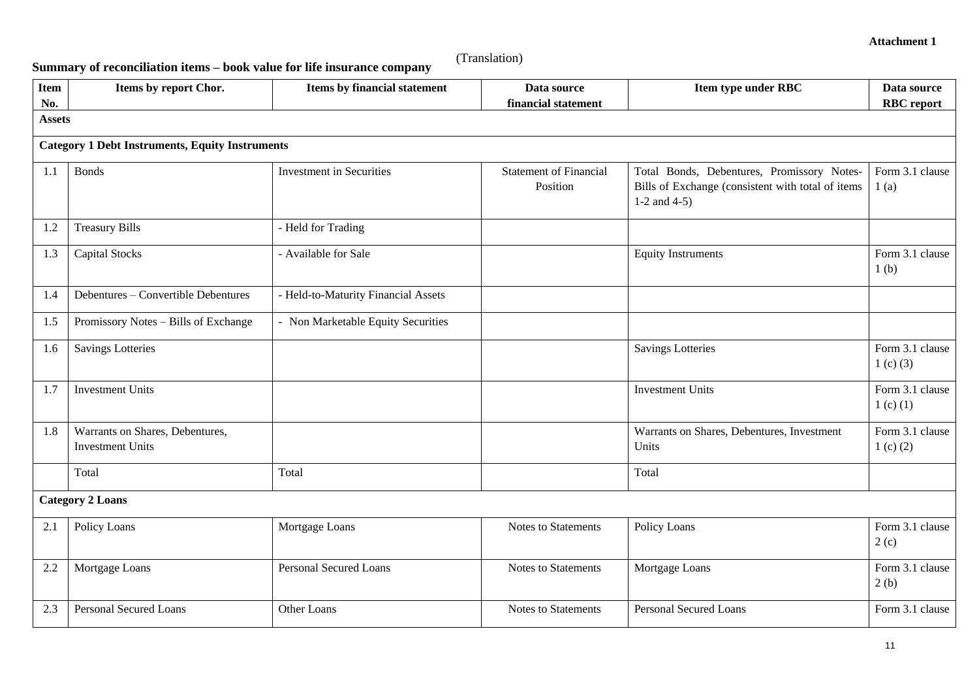**Summary of reconciliation items – book value for life insurance company**

| <b>Item</b>   | Items by report Chor.                                      | Items by financial statement        | Data source                               | Item type under RBC                                                                                                | Data source                         |
|---------------|------------------------------------------------------------|-------------------------------------|-------------------------------------------|--------------------------------------------------------------------------------------------------------------------|-------------------------------------|
| No.           |                                                            |                                     | financial statement                       |                                                                                                                    | <b>RBC</b> report                   |
| <b>Assets</b> |                                                            |                                     |                                           |                                                                                                                    |                                     |
|               | <b>Category 1 Debt Instruments, Equity Instruments</b>     |                                     |                                           |                                                                                                                    |                                     |
| 1.1           | <b>Bonds</b>                                               | <b>Investment</b> in Securities     | <b>Statement of Financial</b><br>Position | Total Bonds, Debentures, Promissory Notes-<br>Bills of Exchange (consistent with total of items<br>1-2 and $4-5$ ) | Form 3.1 clause<br>1(a)             |
| 1.2           | <b>Treasury Bills</b>                                      | - Held for Trading                  |                                           |                                                                                                                    |                                     |
| 1.3           | <b>Capital Stocks</b>                                      | - Available for Sale                |                                           | <b>Equity Instruments</b>                                                                                          | Form 3.1 clause<br>1 <sub>(b)</sub> |
| 1.4           | Debentures - Convertible Debentures                        | - Held-to-Maturity Financial Assets |                                           |                                                                                                                    |                                     |
| 1.5           | Promissory Notes - Bills of Exchange                       | - Non Marketable Equity Securities  |                                           |                                                                                                                    |                                     |
| 1.6           | <b>Savings Lotteries</b>                                   |                                     |                                           | <b>Savings Lotteries</b>                                                                                           | Form 3.1 clause<br>1 $(c)$ $(3)$    |
| 1.7           | <b>Investment Units</b>                                    |                                     |                                           | <b>Investment Units</b>                                                                                            | Form 3.1 clause<br>1 $(c)$ $(1)$    |
| 1.8           | Warrants on Shares, Debentures,<br><b>Investment Units</b> |                                     |                                           | Warrants on Shares, Debentures, Investment<br>Units                                                                | Form 3.1 clause<br>1 $(c)$ $(2)$    |
|               | Total                                                      | Total                               |                                           | Total                                                                                                              |                                     |
|               | <b>Category 2 Loans</b>                                    |                                     |                                           |                                                                                                                    |                                     |
| 2.1           | Policy Loans                                               | Mortgage Loans                      | Notes to Statements                       | Policy Loans                                                                                                       | Form 3.1 clause<br>2(c)             |
| 2.2           | Mortgage Loans                                             | <b>Personal Secured Loans</b>       | <b>Notes to Statements</b>                | Mortgage Loans                                                                                                     | Form 3.1 clause<br>2(b)             |
| 2.3           | <b>Personal Secured Loans</b>                              | Other Loans                         | Notes to Statements                       | Personal Secured Loans                                                                                             | Form 3.1 clause                     |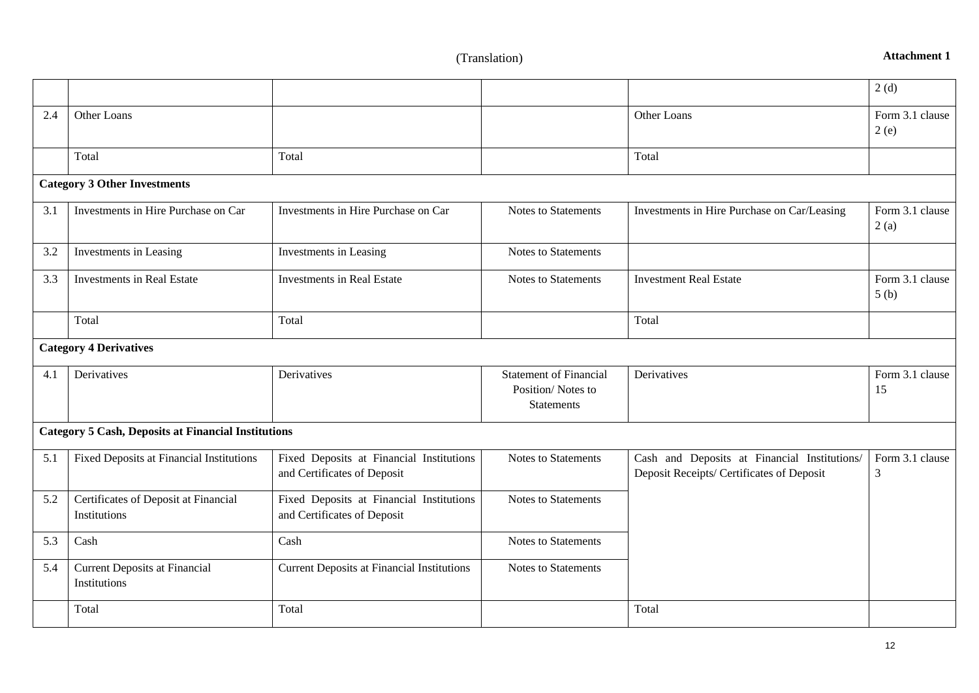**Attachment 1**

|     |                                                            |                                                                         |                                                                         |                                                                                           | 2(d)                    |
|-----|------------------------------------------------------------|-------------------------------------------------------------------------|-------------------------------------------------------------------------|-------------------------------------------------------------------------------------------|-------------------------|
| 2.4 | Other Loans                                                |                                                                         |                                                                         | Other Loans                                                                               | Form 3.1 clause<br>2(e) |
|     | Total                                                      | Total                                                                   |                                                                         | Total                                                                                     |                         |
|     | <b>Category 3 Other Investments</b>                        |                                                                         |                                                                         |                                                                                           |                         |
| 3.1 | Investments in Hire Purchase on Car                        | Investments in Hire Purchase on Car                                     | Notes to Statements                                                     | Investments in Hire Purchase on Car/Leasing                                               | Form 3.1 clause<br>2(a) |
| 3.2 | Investments in Leasing                                     | Investments in Leasing                                                  | <b>Notes to Statements</b>                                              |                                                                                           |                         |
| 3.3 | <b>Investments in Real Estate</b>                          | <b>Investments in Real Estate</b>                                       | <b>Notes to Statements</b>                                              | <b>Investment Real Estate</b>                                                             | Form 3.1 clause<br>5(b) |
|     | Total                                                      | Total                                                                   |                                                                         | Total                                                                                     |                         |
|     | <b>Category 4 Derivatives</b>                              |                                                                         |                                                                         |                                                                                           |                         |
| 4.1 | Derivatives                                                | Derivatives                                                             | <b>Statement of Financial</b><br>Position/Notes to<br><b>Statements</b> | Derivatives                                                                               | Form 3.1 clause<br>15   |
|     | <b>Category 5 Cash, Deposits at Financial Institutions</b> |                                                                         |                                                                         |                                                                                           |                         |
| 5.1 | Fixed Deposits at Financial Institutions                   | Fixed Deposits at Financial Institutions<br>and Certificates of Deposit | Notes to Statements                                                     | Cash and Deposits at Financial Institutions/<br>Deposit Receipts/ Certificates of Deposit | Form 3.1 clause<br>3    |
| 5.2 | Certificates of Deposit at Financial<br>Institutions       | Fixed Deposits at Financial Institutions<br>and Certificates of Deposit | Notes to Statements                                                     |                                                                                           |                         |
| 5.3 | Cash                                                       | Cash                                                                    | <b>Notes to Statements</b>                                              |                                                                                           |                         |
| 5.4 | <b>Current Deposits at Financial</b><br>Institutions       | <b>Current Deposits at Financial Institutions</b>                       | Notes to Statements                                                     |                                                                                           |                         |
|     | Total                                                      | Total                                                                   |                                                                         | Total                                                                                     |                         |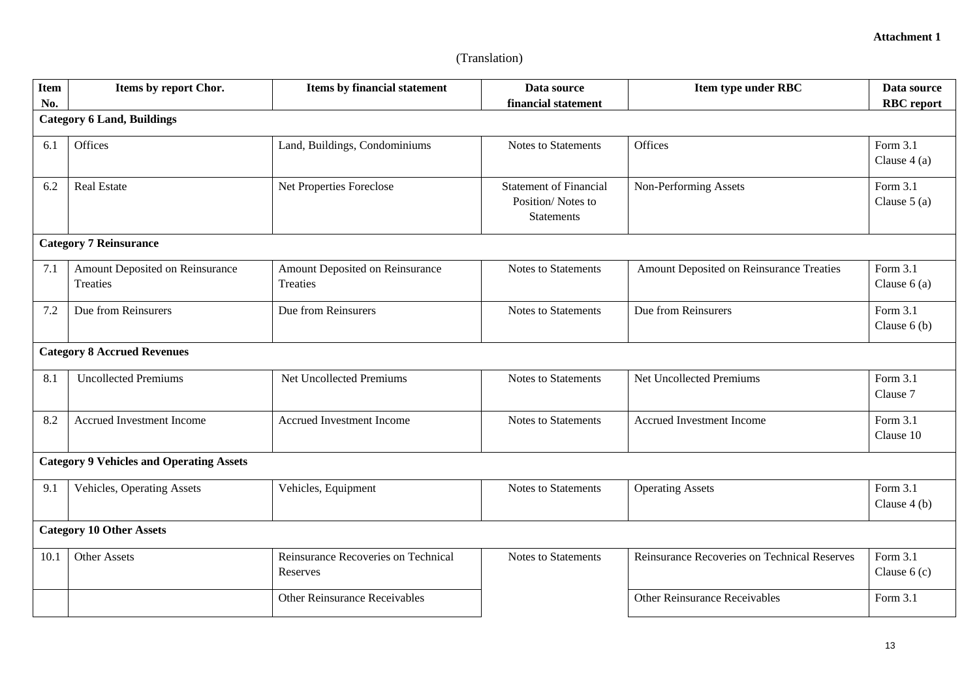| <b>Item</b> | Items by report Chor.                           | <b>Items by financial statement</b>             | Data source                                                             | Item type under RBC                          | Data source                 |
|-------------|-------------------------------------------------|-------------------------------------------------|-------------------------------------------------------------------------|----------------------------------------------|-----------------------------|
| No.         |                                                 |                                                 | financial statement                                                     |                                              | <b>RBC</b> report           |
|             | <b>Category 6 Land, Buildings</b>               |                                                 |                                                                         |                                              |                             |
| 6.1         | Offices                                         | Land, Buildings, Condominiums                   | <b>Notes to Statements</b>                                              | Offices                                      | Form 3.1<br>Clause $4(a)$   |
| 6.2         | Real Estate                                     | Net Properties Foreclose                        | <b>Statement of Financial</b><br>Position/Notes to<br><b>Statements</b> | Non-Performing Assets                        | Form 3.1<br>Clause $5(a)$   |
|             | <b>Category 7 Reinsurance</b>                   |                                                 |                                                                         |                                              |                             |
| 7.1         | Amount Deposited on Reinsurance<br>Treaties     | Amount Deposited on Reinsurance<br>Treaties     | <b>Notes to Statements</b>                                              | Amount Deposited on Reinsurance Treaties     | Form 3.1<br>Clause $6(a)$   |
| 7.2         | Due from Reinsurers                             | Due from Reinsurers                             | <b>Notes to Statements</b>                                              | Due from Reinsurers                          | Form 3.1<br>Clause $6(b)$   |
|             | <b>Category 8 Accrued Revenues</b>              |                                                 |                                                                         |                                              |                             |
| 8.1         | <b>Uncollected Premiums</b>                     | <b>Net Uncollected Premiums</b>                 | <b>Notes to Statements</b>                                              | <b>Net Uncollected Premiums</b>              | Form $3.1$<br>Clause 7      |
| 8.2         | Accrued Investment Income                       | Accrued Investment Income                       | <b>Notes to Statements</b>                                              | Accrued Investment Income                    | Form 3.1<br>Clause 10       |
|             | <b>Category 9 Vehicles and Operating Assets</b> |                                                 |                                                                         |                                              |                             |
| 9.1         | Vehicles, Operating Assets                      | Vehicles, Equipment                             | <b>Notes to Statements</b>                                              | <b>Operating Assets</b>                      | Form $3.1$<br>Clause $4(b)$ |
|             | <b>Category 10 Other Assets</b>                 |                                                 |                                                                         |                                              |                             |
| 10.1        | <b>Other Assets</b>                             | Reinsurance Recoveries on Technical<br>Reserves | <b>Notes to Statements</b>                                              | Reinsurance Recoveries on Technical Reserves | Form 3.1<br>Clause $6(c)$   |
|             |                                                 | Other Reinsurance Receivables                   |                                                                         | Other Reinsurance Receivables                | Form 3.1                    |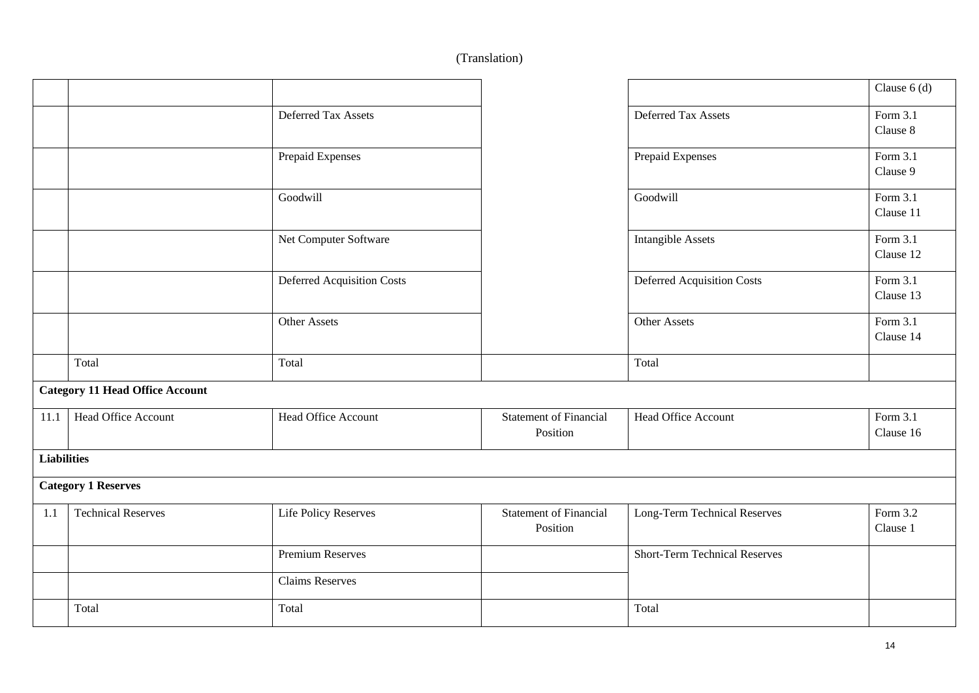|                    |                                        |                                   |                                           |                                      | Clause $6(d)$           |
|--------------------|----------------------------------------|-----------------------------------|-------------------------------------------|--------------------------------------|-------------------------|
|                    |                                        | Deferred Tax Assets               |                                           | Deferred Tax Assets                  | Form 3.1<br>Clause 8    |
|                    |                                        | Prepaid Expenses                  |                                           | Prepaid Expenses                     | Form 3.1<br>Clause 9    |
|                    |                                        | Goodwill                          |                                           | Goodwill                             | Form 3.1<br>Clause 11   |
|                    |                                        | Net Computer Software             |                                           | <b>Intangible Assets</b>             | Form $3.1$<br>Clause 12 |
|                    |                                        | <b>Deferred Acquisition Costs</b> |                                           | <b>Deferred Acquisition Costs</b>    | Form 3.1<br>Clause 13   |
|                    |                                        | Other Assets                      |                                           | Other Assets                         | Form 3.1<br>Clause 14   |
|                    | Total                                  | Total                             |                                           | Total                                |                         |
|                    | <b>Category 11 Head Office Account</b> |                                   |                                           |                                      |                         |
| 11.1               | Head Office Account                    | Head Office Account               | <b>Statement of Financial</b><br>Position | Head Office Account                  | Form 3.1<br>Clause 16   |
| <b>Liabilities</b> |                                        |                                   |                                           |                                      |                         |
|                    | <b>Category 1 Reserves</b>             |                                   |                                           |                                      |                         |
| 1.1                | <b>Technical Reserves</b>              | Life Policy Reserves              | <b>Statement of Financial</b><br>Position | Long-Term Technical Reserves         | Form 3.2<br>Clause 1    |
|                    |                                        | <b>Premium Reserves</b>           |                                           | <b>Short-Term Technical Reserves</b> |                         |
|                    |                                        | <b>Claims Reserves</b>            |                                           |                                      |                         |
|                    | Total                                  | Total                             |                                           | Total                                |                         |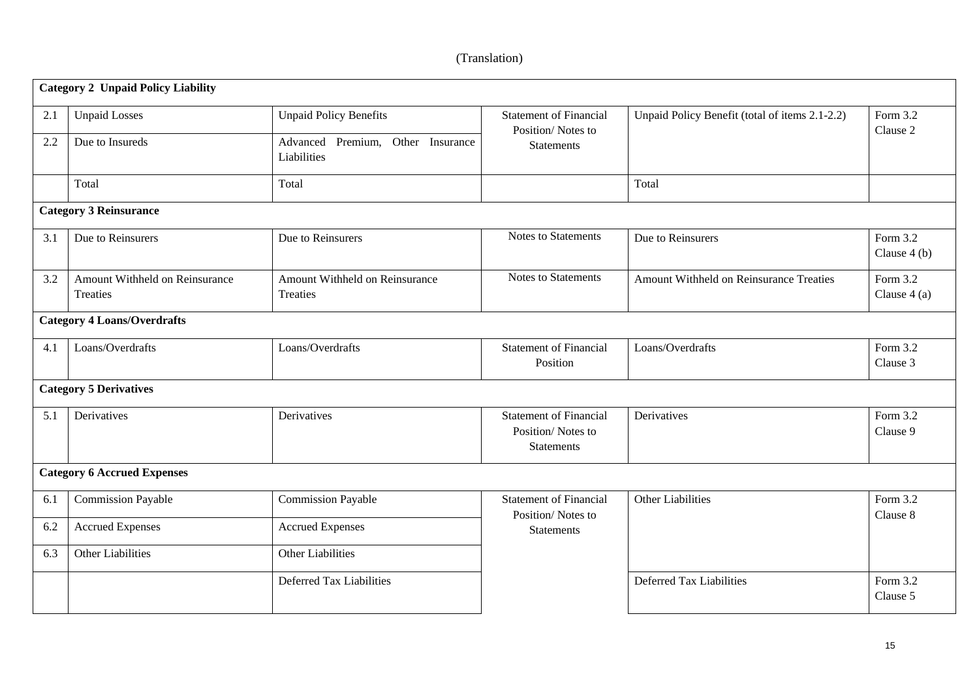|     | <b>Category 2 Unpaid Policy Liability</b>         |                                                  |                                                                         |                                                |                           |
|-----|---------------------------------------------------|--------------------------------------------------|-------------------------------------------------------------------------|------------------------------------------------|---------------------------|
| 2.1 | <b>Unpaid Losses</b>                              | <b>Unpaid Policy Benefits</b>                    | <b>Statement of Financial</b>                                           | Unpaid Policy Benefit (total of items 2.1-2.2) | Form 3.2                  |
| 2.2 | Due to Insureds                                   | Advanced Premium, Other Insurance<br>Liabilities | Position/Notes to<br><b>Statements</b>                                  |                                                | Clause 2                  |
|     | Total                                             | Total                                            |                                                                         | Total                                          |                           |
|     | <b>Category 3 Reinsurance</b>                     |                                                  |                                                                         |                                                |                           |
| 3.1 | Due to Reinsurers                                 | Due to Reinsurers                                | Notes to Statements                                                     | Due to Reinsurers                              | Form 3.2<br>Clause $4(b)$ |
| 3.2 | Amount Withheld on Reinsurance<br><b>Treaties</b> | Amount Withheld on Reinsurance<br>Treaties       | Notes to Statements                                                     | Amount Withheld on Reinsurance Treaties        | Form 3.2<br>Clause $4(a)$ |
|     | <b>Category 4 Loans/Overdrafts</b>                |                                                  |                                                                         |                                                |                           |
| 4.1 | Loans/Overdrafts                                  | Loans/Overdrafts                                 | <b>Statement of Financial</b><br>Position                               | Loans/Overdrafts                               | Form $3.2$<br>Clause 3    |
|     | <b>Category 5 Derivatives</b>                     |                                                  |                                                                         |                                                |                           |
| 5.1 | Derivatives                                       | Derivatives                                      | <b>Statement of Financial</b><br>Position/Notes to<br><b>Statements</b> | Derivatives                                    | Form 3.2<br>Clause 9      |
|     | <b>Category 6 Accrued Expenses</b>                |                                                  |                                                                         |                                                |                           |
| 6.1 | <b>Commission Payable</b>                         | <b>Commission Payable</b>                        | <b>Statement of Financial</b><br>Position/Notes to                      | Other Liabilities                              | Form 3.2<br>Clause 8      |
| 6.2 | <b>Accrued Expenses</b>                           | <b>Accrued Expenses</b>                          | <b>Statements</b>                                                       |                                                |                           |
| 6.3 | Other Liabilities                                 | Other Liabilities                                |                                                                         |                                                |                           |
|     |                                                   | Deferred Tax Liabilities                         |                                                                         | Deferred Tax Liabilities                       | Form 3.2<br>Clause 5      |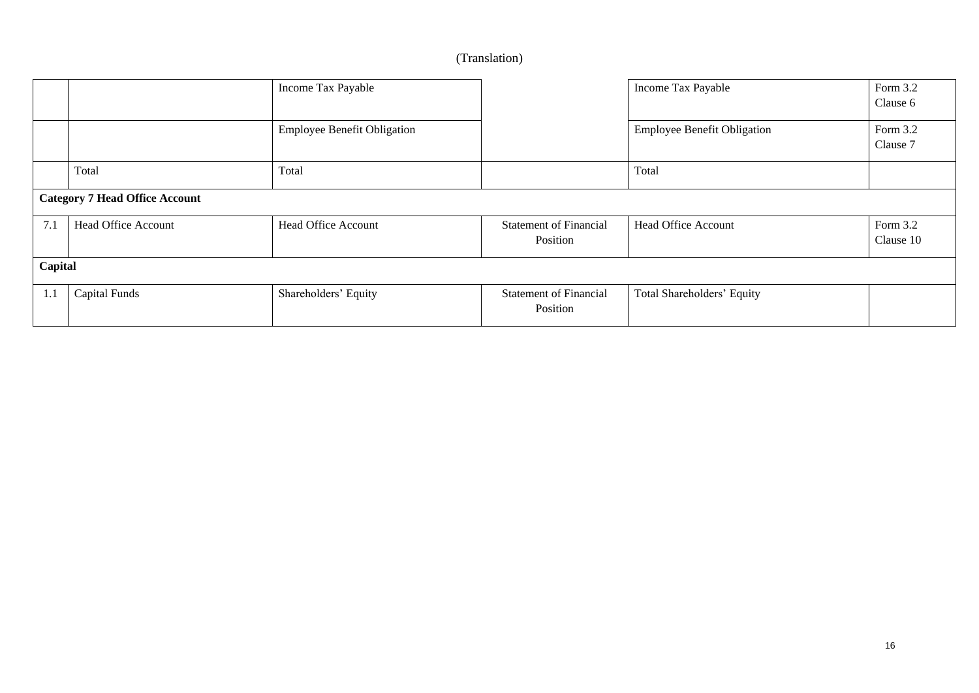|         |                                       | Income Tax Payable                 |                                           | Income Tax Payable                 | Form 3.2<br>Clause 6  |
|---------|---------------------------------------|------------------------------------|-------------------------------------------|------------------------------------|-----------------------|
|         |                                       | <b>Employee Benefit Obligation</b> |                                           | <b>Employee Benefit Obligation</b> | Form 3.2<br>Clause 7  |
|         | Total                                 | Total                              |                                           | Total                              |                       |
|         | <b>Category 7 Head Office Account</b> |                                    |                                           |                                    |                       |
| 7.1     | <b>Head Office Account</b>            | <b>Head Office Account</b>         | <b>Statement of Financial</b><br>Position | <b>Head Office Account</b>         | Form 3.2<br>Clause 10 |
| Capital |                                       |                                    |                                           |                                    |                       |
| 1.1     | <b>Capital Funds</b>                  | Shareholders' Equity               | <b>Statement of Financial</b><br>Position | Total Shareholders' Equity         |                       |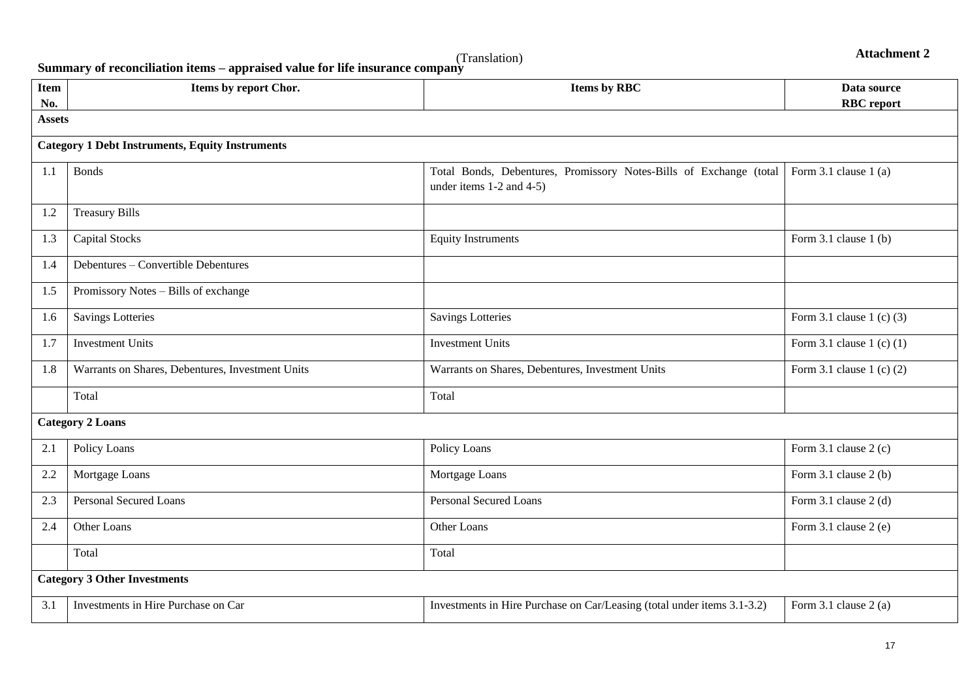**Attachment 2**

(Translation) **Summary of reconciliation items – appraised value for life insurance company**

| <b>Item</b><br>No. | Items by report Chor.                                  | <b>Items by RBC</b>                                                                                 | Data source<br><b>RBC</b> report |
|--------------------|--------------------------------------------------------|-----------------------------------------------------------------------------------------------------|----------------------------------|
| <b>Assets</b>      |                                                        |                                                                                                     |                                  |
|                    | <b>Category 1 Debt Instruments, Equity Instruments</b> |                                                                                                     |                                  |
| 1.1                | <b>Bonds</b>                                           | Total Bonds, Debentures, Promissory Notes-Bills of Exchange (total<br>under items $1-2$ and $4-5$ ) | Form 3.1 clause $1(a)$           |
| 1.2                | <b>Treasury Bills</b>                                  |                                                                                                     |                                  |
| 1.3                | <b>Capital Stocks</b>                                  | <b>Equity Instruments</b>                                                                           | Form 3.1 clause 1 (b)            |
| 1.4                | Debentures - Convertible Debentures                    |                                                                                                     |                                  |
| 1.5                | Promissory Notes - Bills of exchange                   |                                                                                                     |                                  |
| 1.6                | <b>Savings Lotteries</b>                               | <b>Savings Lotteries</b>                                                                            | Form 3.1 clause $1$ (c) (3)      |
| 1.7                | <b>Investment Units</b>                                | <b>Investment Units</b>                                                                             | Form 3.1 clause 1 (c) $(1)$      |
| 1.8                | Warrants on Shares, Debentures, Investment Units       | Warrants on Shares, Debentures, Investment Units                                                    | Form 3.1 clause 1 (c) $(2)$      |
|                    | Total                                                  | Total                                                                                               |                                  |
|                    | <b>Category 2 Loans</b>                                |                                                                                                     |                                  |
| 2.1                | Policy Loans                                           | Policy Loans                                                                                        | Form $3.1$ clause $2(c)$         |
| 2.2                | Mortgage Loans                                         | Mortgage Loans                                                                                      | Form $3.1$ clause $2(b)$         |
| 2.3                | <b>Personal Secured Loans</b>                          | <b>Personal Secured Loans</b>                                                                       | Form $3.1$ clause $2$ (d)        |
| 2.4                | Other Loans                                            | Other Loans                                                                                         | Form 3.1 clause 2 (e)            |
|                    | Total                                                  | Total                                                                                               |                                  |
|                    | <b>Category 3 Other Investments</b>                    |                                                                                                     |                                  |
| 3.1                | Investments in Hire Purchase on Car                    | Investments in Hire Purchase on Car/Leasing (total under items 3.1-3.2)                             | Form 3.1 clause 2 (a)            |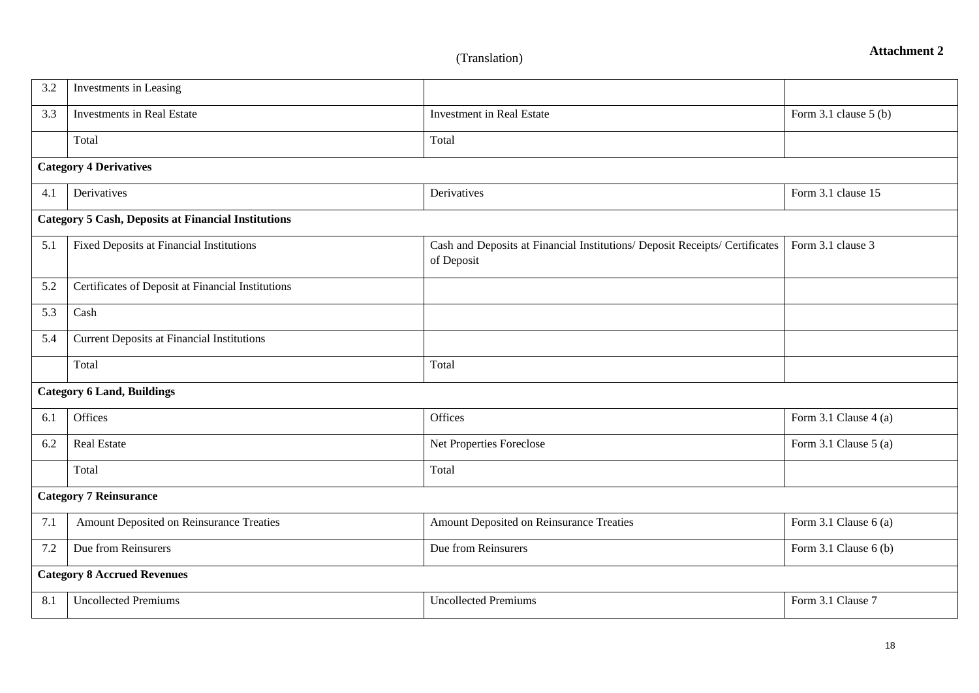| 3.2 | Investments in Leasing                                     |                                                                                           |                           |
|-----|------------------------------------------------------------|-------------------------------------------------------------------------------------------|---------------------------|
| 3.3 | <b>Investments in Real Estate</b>                          | <b>Investment in Real Estate</b>                                                          | Form 3.1 clause 5 (b)     |
|     | Total                                                      | Total                                                                                     |                           |
|     | <b>Category 4 Derivatives</b>                              |                                                                                           |                           |
| 4.1 | Derivatives                                                | Derivatives                                                                               | Form 3.1 clause 15        |
|     | <b>Category 5 Cash, Deposits at Financial Institutions</b> |                                                                                           |                           |
| 5.1 | Fixed Deposits at Financial Institutions                   | Cash and Deposits at Financial Institutions/ Deposit Receipts/ Certificates<br>of Deposit | Form 3.1 clause 3         |
| 5.2 | Certificates of Deposit at Financial Institutions          |                                                                                           |                           |
| 5.3 | Cash                                                       |                                                                                           |                           |
| 5.4 | <b>Current Deposits at Financial Institutions</b>          |                                                                                           |                           |
|     | Total                                                      | Total                                                                                     |                           |
|     | <b>Category 6 Land, Buildings</b>                          |                                                                                           |                           |
| 6.1 | Offices                                                    | Offices                                                                                   | Form 3.1 Clause 4 (a)     |
| 6.2 | <b>Real Estate</b>                                         | Net Properties Foreclose                                                                  | Form $3.1$ Clause $5$ (a) |
|     | Total                                                      | Total                                                                                     |                           |
|     | <b>Category 7 Reinsurance</b>                              |                                                                                           |                           |
| 7.1 | Amount Deposited on Reinsurance Treaties                   | Amount Deposited on Reinsurance Treaties                                                  | Form 3.1 Clause $6(a)$    |
| 7.2 | Due from Reinsurers                                        | Due from Reinsurers                                                                       | Form 3.1 Clause 6 (b)     |
|     | <b>Category 8 Accrued Revenues</b>                         |                                                                                           |                           |
| 8.1 | <b>Uncollected Premiums</b>                                | <b>Uncollected Premiums</b>                                                               | Form 3.1 Clause 7         |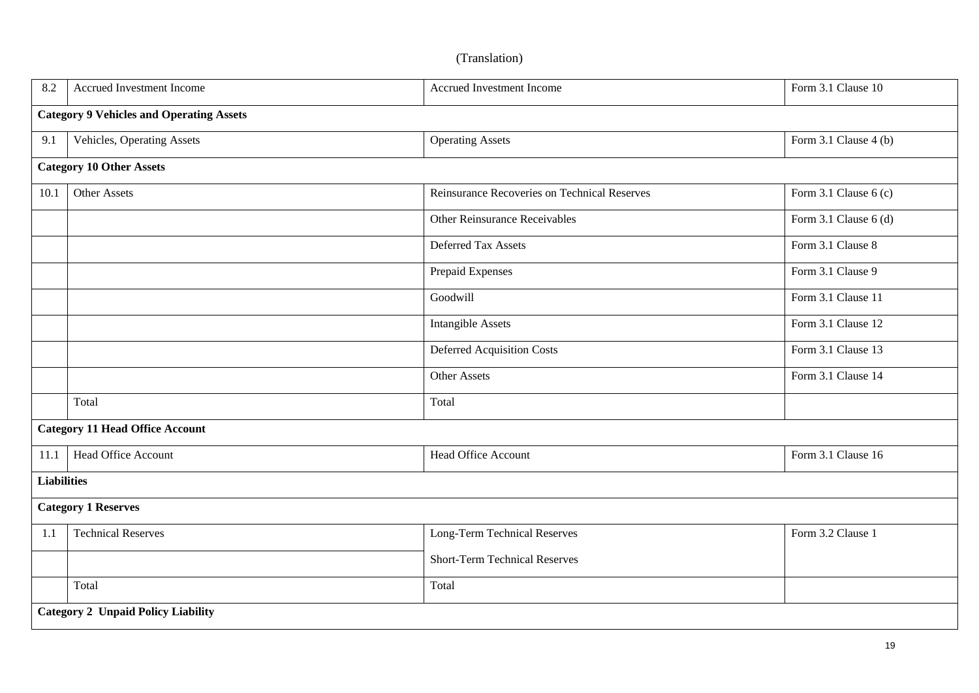| 8.2                | Accrued Investment Income                       | Accrued Investment Income                    | Form 3.1 Clause 10    |  |  |
|--------------------|-------------------------------------------------|----------------------------------------------|-----------------------|--|--|
|                    | <b>Category 9 Vehicles and Operating Assets</b> |                                              |                       |  |  |
| 9.1                | Vehicles, Operating Assets                      | <b>Operating Assets</b>                      | Form 3.1 Clause 4 (b) |  |  |
|                    | <b>Category 10 Other Assets</b>                 |                                              |                       |  |  |
| 10.1               | Other Assets                                    | Reinsurance Recoveries on Technical Reserves | Form 3.1 Clause 6 (c) |  |  |
|                    |                                                 | Other Reinsurance Receivables                | Form 3.1 Clause 6 (d) |  |  |
|                    |                                                 | Deferred Tax Assets                          | Form 3.1 Clause 8     |  |  |
|                    |                                                 | Prepaid Expenses                             | Form 3.1 Clause 9     |  |  |
|                    |                                                 | Goodwill                                     | Form 3.1 Clause 11    |  |  |
|                    |                                                 | <b>Intangible Assets</b>                     | Form 3.1 Clause 12    |  |  |
|                    |                                                 | <b>Deferred Acquisition Costs</b>            | Form 3.1 Clause 13    |  |  |
|                    |                                                 | Other Assets                                 | Form 3.1 Clause 14    |  |  |
|                    | Total                                           | Total                                        |                       |  |  |
|                    | <b>Category 11 Head Office Account</b>          |                                              |                       |  |  |
| 11.1               | Head Office Account                             | <b>Head Office Account</b>                   | Form 3.1 Clause 16    |  |  |
| <b>Liabilities</b> |                                                 |                                              |                       |  |  |
|                    | <b>Category 1 Reserves</b>                      |                                              |                       |  |  |
| 1.1                | <b>Technical Reserves</b>                       | Long-Term Technical Reserves                 | Form 3.2 Clause 1     |  |  |
|                    |                                                 | <b>Short-Term Technical Reserves</b>         |                       |  |  |
|                    | Total                                           | Total                                        |                       |  |  |
|                    | <b>Category 2 Unpaid Policy Liability</b>       |                                              |                       |  |  |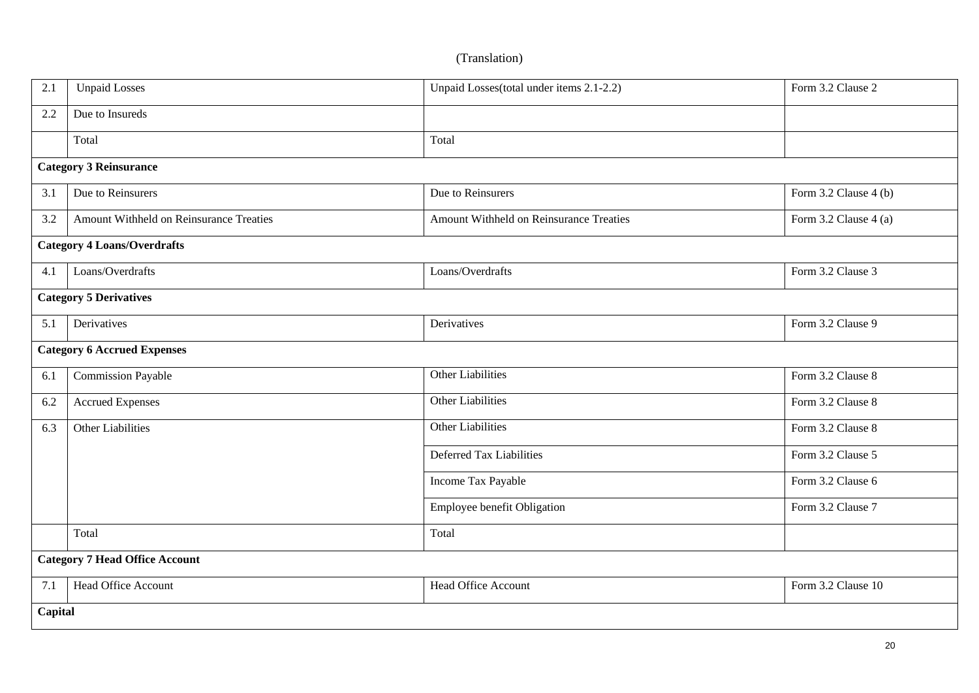| 2.1 | <b>Unpaid Losses</b>                    | Unpaid Losses(total under items 2.1-2.2) | Form 3.2 Clause 2     |  |  |
|-----|-----------------------------------------|------------------------------------------|-----------------------|--|--|
| 2.2 | Due to Insureds                         |                                          |                       |  |  |
|     | Total                                   | Total                                    |                       |  |  |
|     | <b>Category 3 Reinsurance</b>           |                                          |                       |  |  |
| 3.1 | Due to Reinsurers                       | Due to Reinsurers                        | Form 3.2 Clause 4 (b) |  |  |
| 3.2 | Amount Withheld on Reinsurance Treaties | Amount Withheld on Reinsurance Treaties  | Form 3.2 Clause 4 (a) |  |  |
|     | <b>Category 4 Loans/Overdrafts</b>      |                                          |                       |  |  |
| 4.1 | Loans/Overdrafts                        | Loans/Overdrafts                         | Form 3.2 Clause 3     |  |  |
|     | <b>Category 5 Derivatives</b>           |                                          |                       |  |  |
| 5.1 | Derivatives                             | Derivatives                              | Form 3.2 Clause 9     |  |  |
|     | <b>Category 6 Accrued Expenses</b>      |                                          |                       |  |  |
| 6.1 | <b>Commission Payable</b>               | <b>Other Liabilities</b>                 | Form 3.2 Clause 8     |  |  |
| 6.2 | <b>Accrued Expenses</b>                 | Other Liabilities                        | Form 3.2 Clause 8     |  |  |
| 6.3 | Other Liabilities                       | Other Liabilities                        | Form 3.2 Clause 8     |  |  |
|     |                                         | Deferred Tax Liabilities                 | Form 3.2 Clause 5     |  |  |
|     |                                         | Income Tax Payable                       | Form 3.2 Clause 6     |  |  |
|     |                                         | Employee benefit Obligation              | Form 3.2 Clause 7     |  |  |
|     | Total                                   | Total                                    |                       |  |  |
|     | <b>Category 7 Head Office Account</b>   |                                          |                       |  |  |
| 7.1 | Head Office Account                     | Head Office Account                      | Form 3.2 Clause 10    |  |  |
|     | Capital                                 |                                          |                       |  |  |